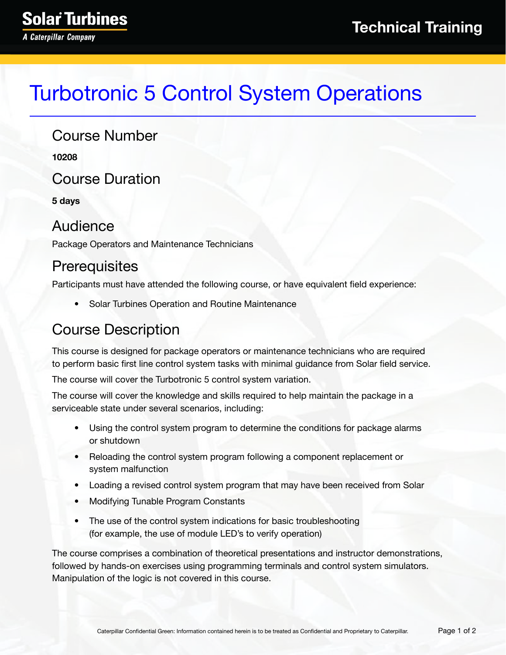# Turbotronic 5 Control System Operations

#### Course Number

**10208**

Course Duration

**5 days**

#### Audience

Package Operators and Maintenance Technicians

#### **Prerequisites**

Participants must have attended the following course, or have equivalent field experience:

• Solar Turbines Operation and Routine Maintenance

### Course Description

This course is designed for package operators or maintenance technicians who are required to perform basic first line control system tasks with minimal guidance from Solar field service.

The course will cover the Turbotronic 5 control system variation.

The course will cover the knowledge and skills required to help maintain the package in a serviceable state under several scenarios, including:

- Using the control system program to determine the conditions for package alarms or shutdown
- Reloading the control system program following a component replacement or system malfunction
- Loading a revised control system program that may have been received from Solar
- Modifying Tunable Program Constants
- The use of the control system indications for basic troubleshooting (for example, the use of module LED's to verify operation)

The course comprises a combination of theoretical presentations and instructor demonstrations, followed by hands-on exercises using programming terminals and control system simulators. Manipulation of the logic is not covered in this course.